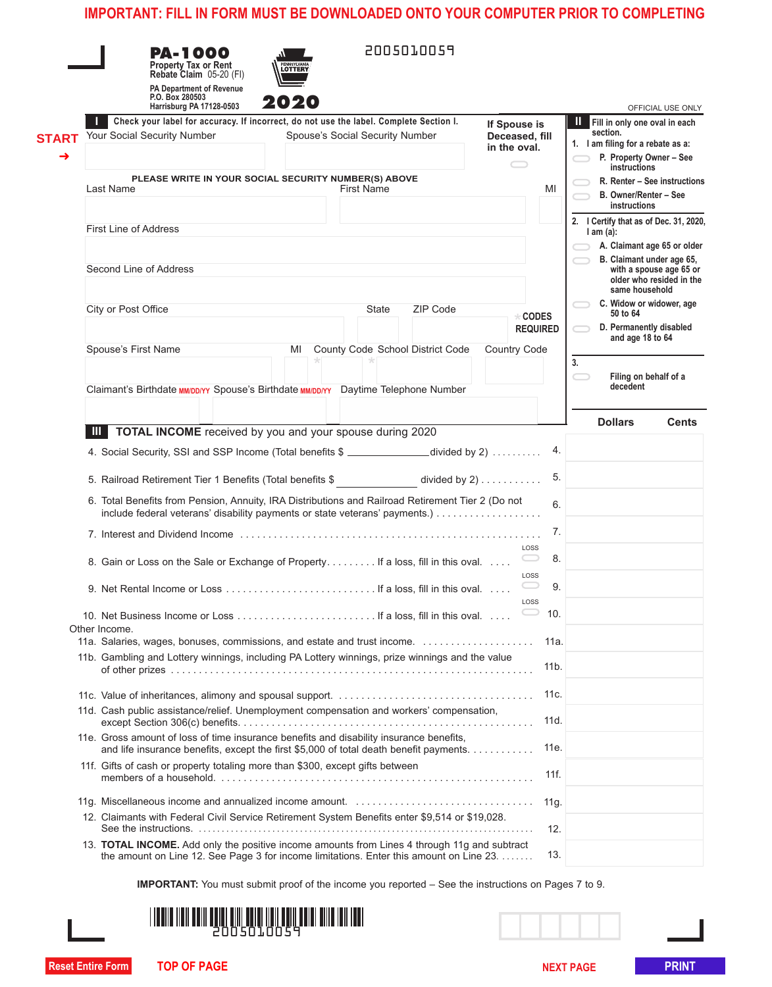| Fill in only one oval in each<br>section.<br>1. I am filing for a rebate as a:<br>P. Property Owner - See<br>instructions<br>R. Renter - See instructions<br>B. Owner/Renter - See<br>instructions<br>2. I Certify that as of Dec. 31, 2020,<br>$l$ am $(a)$ :<br>A. Claimant age 65 or older<br>B. Claimant under age 65,<br>with a spouse age 65 or<br>older who resided in the<br>same household<br>C. Widow or widower, age<br>50 to 64<br>D. Permanently disabled<br>and age 18 to 64<br>Filing on behalf of a<br>decedent<br><b>Dollars</b><br><b>Cents</b> |
|-------------------------------------------------------------------------------------------------------------------------------------------------------------------------------------------------------------------------------------------------------------------------------------------------------------------------------------------------------------------------------------------------------------------------------------------------------------------------------------------------------------------------------------------------------------------|
|                                                                                                                                                                                                                                                                                                                                                                                                                                                                                                                                                                   |
|                                                                                                                                                                                                                                                                                                                                                                                                                                                                                                                                                                   |
|                                                                                                                                                                                                                                                                                                                                                                                                                                                                                                                                                                   |
|                                                                                                                                                                                                                                                                                                                                                                                                                                                                                                                                                                   |
|                                                                                                                                                                                                                                                                                                                                                                                                                                                                                                                                                                   |
|                                                                                                                                                                                                                                                                                                                                                                                                                                                                                                                                                                   |
|                                                                                                                                                                                                                                                                                                                                                                                                                                                                                                                                                                   |
|                                                                                                                                                                                                                                                                                                                                                                                                                                                                                                                                                                   |
|                                                                                                                                                                                                                                                                                                                                                                                                                                                                                                                                                                   |
|                                                                                                                                                                                                                                                                                                                                                                                                                                                                                                                                                                   |
|                                                                                                                                                                                                                                                                                                                                                                                                                                                                                                                                                                   |
|                                                                                                                                                                                                                                                                                                                                                                                                                                                                                                                                                                   |
|                                                                                                                                                                                                                                                                                                                                                                                                                                                                                                                                                                   |
|                                                                                                                                                                                                                                                                                                                                                                                                                                                                                                                                                                   |
|                                                                                                                                                                                                                                                                                                                                                                                                                                                                                                                                                                   |
|                                                                                                                                                                                                                                                                                                                                                                                                                                                                                                                                                                   |
|                                                                                                                                                                                                                                                                                                                                                                                                                                                                                                                                                                   |
|                                                                                                                                                                                                                                                                                                                                                                                                                                                                                                                                                                   |
|                                                                                                                                                                                                                                                                                                                                                                                                                                                                                                                                                                   |
|                                                                                                                                                                                                                                                                                                                                                                                                                                                                                                                                                                   |
|                                                                                                                                                                                                                                                                                                                                                                                                                                                                                                                                                                   |
|                                                                                                                                                                                                                                                                                                                                                                                                                                                                                                                                                                   |
|                                                                                                                                                                                                                                                                                                                                                                                                                                                                                                                                                                   |
|                                                                                                                                                                                                                                                                                                                                                                                                                                                                                                                                                                   |
|                                                                                                                                                                                                                                                                                                                                                                                                                                                                                                                                                                   |
|                                                                                                                                                                                                                                                                                                                                                                                                                                                                                                                                                                   |
|                                                                                                                                                                                                                                                                                                                                                                                                                                                                                                                                                                   |
|                                                                                                                                                                                                                                                                                                                                                                                                                                                                                                                                                                   |
|                                                                                                                                                                                                                                                                                                                                                                                                                                                                                                                                                                   |
|                                                                                                                                                                                                                                                                                                                                                                                                                                                                                                                                                                   |
|                                                                                                                                                                                                                                                                                                                                                                                                                                                                                                                                                                   |
|                                                                                                                                                                                                                                                                                                                                                                                                                                                                                                                                                                   |
|                                                                                                                                                                                                                                                                                                                                                                                                                                                                                                                                                                   |
|                                                                                                                                                                                                                                                                                                                                                                                                                                                                                                                                                                   |
|                                                                                                                                                                                                                                                                                                                                                                                                                                                                                                                                                                   |
|                                                                                                                                                                                                                                                                                                                                                                                                                                                                                                                                                                   |
|                                                                                                                                                                                                                                                                                                                                                                                                                                                                                                                                                                   |
|                                                                                                                                                                                                                                                                                                                                                                                                                                                                                                                                                                   |
|                                                                                                                                                                                                                                                                                                                                                                                                                                                                                                                                                                   |
|                                                                                                                                                                                                                                                                                                                                                                                                                                                                                                                                                                   |
|                                                                                                                                                                                                                                                                                                                                                                                                                                                                                                                                                                   |
|                                                                                                                                                                                                                                                                                                                                                                                                                                                                                                                                                                   |
|                                                                                                                                                                                                                                                                                                                                                                                                                                                                                                                                                                   |
|                                                                                                                                                                                                                                                                                                                                                                                                                                                                                                                                                                   |
|                                                                                                                                                                                                                                                                                                                                                                                                                                                                                                                                                                   |
|                                                                                                                                                                                                                                                                                                                                                                                                                                                                                                                                                                   |
| <b>IMPORTANT:</b> You must submit proof of the income you reported – See the instructions on Pages 7 to 9.                                                                                                                                                                                                                                                                                                                                                                                                                                                        |
|                                                                                                                                                                                                                                                                                                                                                                                                                                                                                                                                                                   |
|                                                                                                                                                                                                                                                                                                                                                                                                                                                                                                                                                                   |
|                                                                                                                                                                                                                                                                                                                                                                                                                                                                                                                                                                   |
|                                                                                                                                                                                                                                                                                                                                                                                                                                                                                                                                                                   |
|                                                                                                                                                                                                                                                                                                                                                                                                                                                                                                                                                                   |